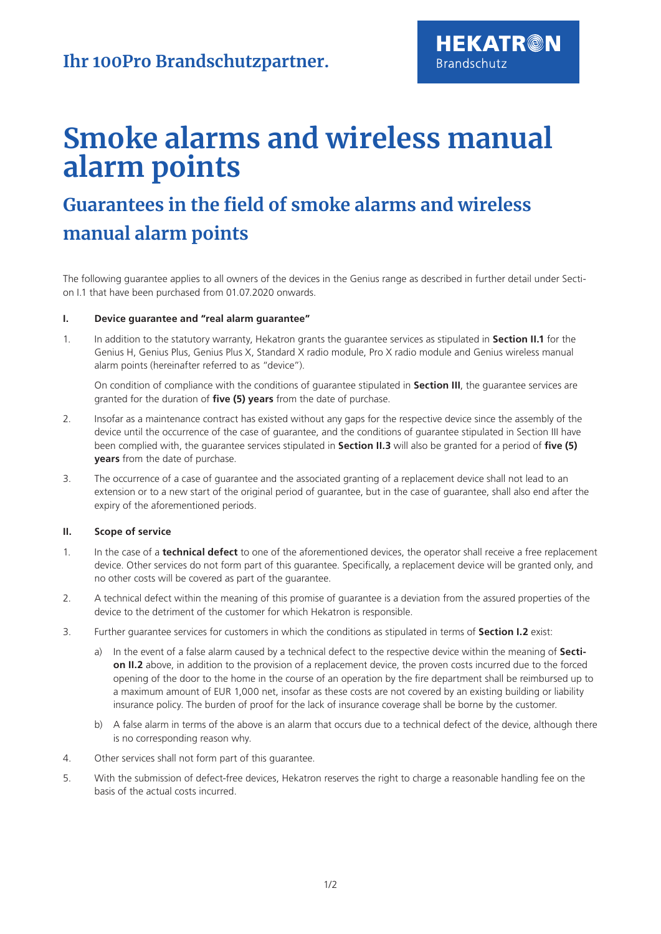# **Smoke alarms and wireless manual alarm points**

**HEKATR@N** 

**Brandschutz** 

# **Guarantees in the field of smoke alarms and wireless manual alarm points**

The following guarantee applies to all owners of the devices in the Genius range as described in further detail under Section I.1 that have been purchased from 01.07.2020 onwards.

#### **I. Device guarantee and "real alarm guarantee"**

1. In addition to the statutory warranty, Hekatron grants the guarantee services as stipulated in **Section II.1** for the Genius H, Genius Plus, Genius Plus X, Standard X radio module, Pro X radio module and Genius wireless manual alarm points (hereinafter referred to as "device").

On condition of compliance with the conditions of guarantee stipulated in **Section III**, the guarantee services are granted for the duration of **five (5) years** from the date of purchase.

- 2. Insofar as a maintenance contract has existed without any gaps for the respective device since the assembly of the device until the occurrence of the case of guarantee, and the conditions of guarantee stipulated in Section III have been complied with, the guarantee services stipulated in **Section II.3** will also be granted for a period of **five (5) years** from the date of purchase.
- 3. The occurrence of a case of guarantee and the associated granting of a replacement device shall not lead to an extension or to a new start of the original period of guarantee, but in the case of guarantee, shall also end after the expiry of the aforementioned periods.

## **II. Scope of service**

- 1. In the case of a **technical defect** to one of the aforementioned devices, the operator shall receive a free replacement device. Other services do not form part of this guarantee. Specifically, a replacement device will be granted only, and no other costs will be covered as part of the guarantee.
- 2. A technical defect within the meaning of this promise of guarantee is a deviation from the assured properties of the device to the detriment of the customer for which Hekatron is responsible.
- 3. Further guarantee services for customers in which the conditions as stipulated in terms of **Section I.2** exist:
	- a) In the event of a false alarm caused by a technical defect to the respective device within the meaning of **Section II.2** above, in addition to the provision of a replacement device, the proven costs incurred due to the forced opening of the door to the home in the course of an operation by the fire department shall be reimbursed up to a maximum amount of EUR 1,000 net, insofar as these costs are not covered by an existing building or liability insurance policy. The burden of proof for the lack of insurance coverage shall be borne by the customer.
	- b) A false alarm in terms of the above is an alarm that occurs due to a technical defect of the device, although there is no corresponding reason why.
- 4. Other services shall not form part of this guarantee.
- 5. With the submission of defect-free devices, Hekatron reserves the right to charge a reasonable handling fee on the basis of the actual costs incurred.